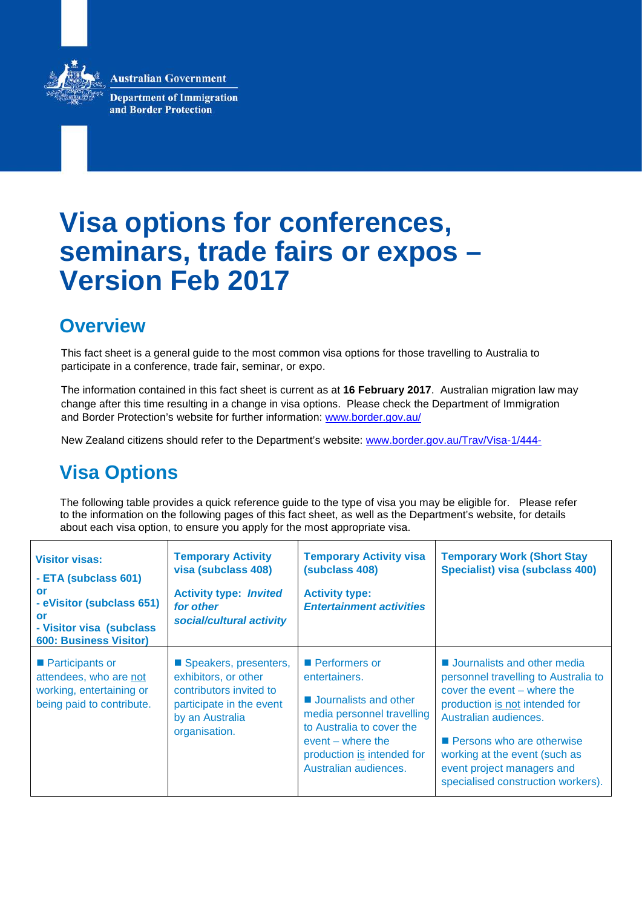**Australian Government** 



**Department of Immigration** and Border Protection

# **Visa options for conferences, seminars, trade fairs or expos – Version Feb 2017**

## **Overview**

This fact sheet is a general guide to the most common visa options for those travelling to Australia to participate in a conference, trade fair, seminar, or expo.

The information contained in this fact sheet is current as at **16 February 2017**. Australian migration law may change after this time resulting in a change in visa options. Please check the Department of Immigration and Border Protection's website for further information: [www.border.gov.au/](http://www.border.gov.au/)

New Zealand citizens should refer to the Department's website: [www.border.gov.au/Trav/Visa-1/444-](http://www.border.gov.au/Trav/Visa-1/444-)

## **Visa Options**

The following table provides a quick reference guide to the type of visa you may be eligible for. Please refer to the information on the following pages of this fact sheet, as well as the Department's website, for details about each visa option, to ensure you apply for the most appropriate visa.

| <b>Visitor visas:</b><br>- ETA (subclass 601)<br>or<br>- eVisitor (subclass 651)<br>or<br>- Visitor visa (subclass<br><b>600: Business Visitor)</b> | <b>Temporary Activity</b><br>visa (subclass 408)<br><b>Activity type: Invited</b><br>for other<br>social/cultural activity               | <b>Temporary Activity visa</b><br>(subclass 408)<br><b>Activity type:</b><br><b>Entertainment activities</b>                                                                                                   | <b>Temporary Work (Short Stay</b><br>Specialist) visa (subclass 400)                                                                                                                                                                                                                                          |
|-----------------------------------------------------------------------------------------------------------------------------------------------------|------------------------------------------------------------------------------------------------------------------------------------------|----------------------------------------------------------------------------------------------------------------------------------------------------------------------------------------------------------------|---------------------------------------------------------------------------------------------------------------------------------------------------------------------------------------------------------------------------------------------------------------------------------------------------------------|
| ■ Participants or<br>attendees, who are not<br>working, entertaining or<br>being paid to contribute.                                                | Speakers, presenters,<br>exhibitors, or other<br>contributors invited to<br>participate in the event<br>by an Australia<br>organisation. | <b>Performers or</b><br>entertainers.<br><b>Journalists and other</b><br>media personnel travelling<br>to Australia to cover the<br>$event - where the$<br>production is intended for<br>Australian audiences. | <b>Journalists and other media</b><br>personnel travelling to Australia to<br>cover the event – where the<br>production is not intended for<br>Australian audiences.<br><b>Persons who are otherwise</b><br>working at the event (such as<br>event project managers and<br>specialised construction workers). |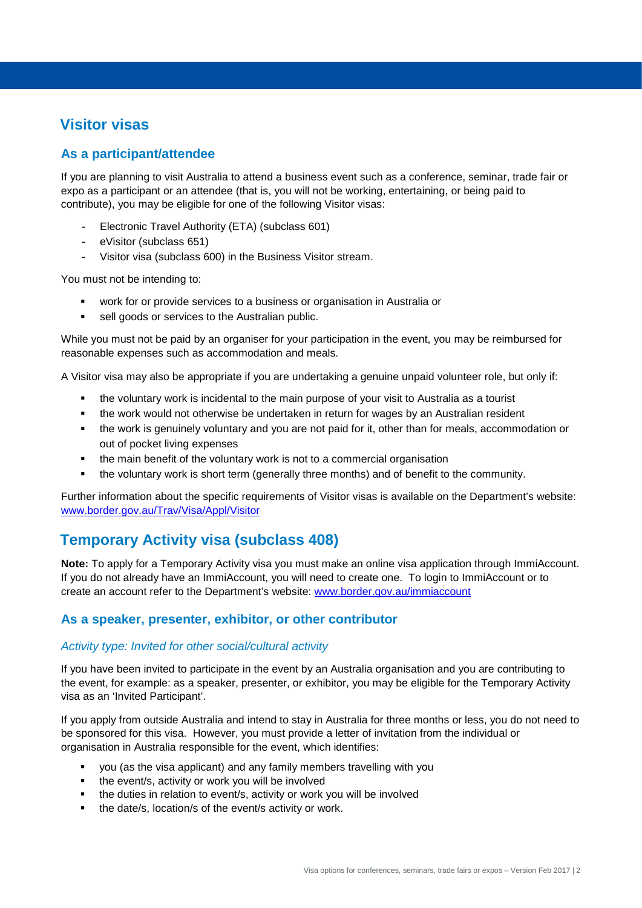### **Visitor visas**

### **As a participant/attendee**

If you are planning to visit Australia to attend a business event such as a conference, seminar, trade fair or expo as a participant or an attendee (that is, you will not be working, entertaining, or being paid to contribute), you may be eligible for one of the following Visitor visas:

- Electronic Travel Authority (ETA) (subclass 601)
- eVisitor (subclass 651)
- Visitor visa (subclass 600) in the Business Visitor stream.

You must not be intending to:

- work for or provide services to a business or organisation in Australia or
- sell goods or services to the Australian public.

While you must not be paid by an organiser for your participation in the event, you may be reimbursed for reasonable expenses such as accommodation and meals.

A Visitor visa may also be appropriate if you are undertaking a genuine unpaid volunteer role, but only if:

- the voluntary work is incidental to the main purpose of your visit to Australia as a tourist
- **the work would not otherwise be undertaken in return for wages by an Australian resident**
- the work is genuinely voluntary and you are not paid for it, other than for meals, accommodation or out of pocket living expenses
- the main benefit of the voluntary work is not to a commercial organisation
- the voluntary work is short term (generally three months) and of benefit to the community.

Further information about the specific requirements of Visitor visas is available on the Department's website: [www.border.gov.au/Trav/Visa/Appl/Visitor](http://www.border.gov.au/Trav/Visa/Appl/Visitor)

### **Temporary Activity visa (subclass 408)**

**Note:** To apply for a Temporary Activity visa you must make an online visa application through ImmiAccount. If you do not already have an ImmiAccount, you will need to create one. To login to ImmiAccount or to create an account refer to the Department's website: [www.border.gov.au/immiaccount](http://www.border.gov.au/immiaccount) 

#### **As a speaker, presenter, exhibitor, or other contributor**

#### *Activity type: Invited for other social/cultural activity*

If you have been invited to participate in the event by an Australia organisation and you are contributing to the event, for example: as a speaker, presenter, or exhibitor, you may be eligible for the Temporary Activity visa as an 'Invited Participant'.

If you apply from outside Australia and intend to stay in Australia for three months or less, you do not need to be sponsored for this visa. However, you must provide a letter of invitation from the individual or organisation in Australia responsible for the event, which identifies:

- you (as the visa applicant) and any family members travelling with you
- the event/s, activity or work you will be involved
- the duties in relation to event/s, activity or work you will be involved
- the date/s, location/s of the event/s activity or work.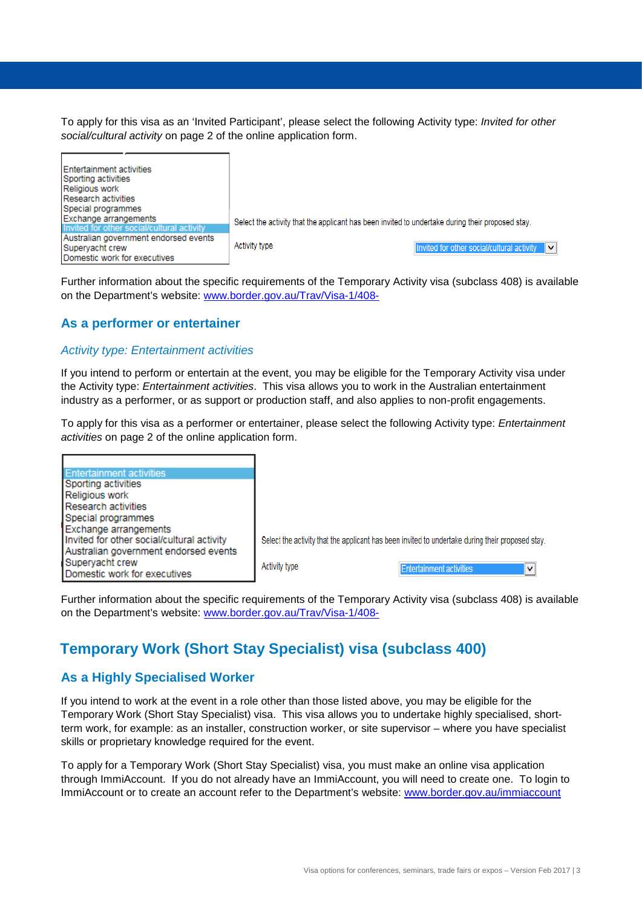To apply for this visa as an 'Invited Participant', please select the following Activity type: *Invited for other social/cultural activity* on page 2 of the online application form.

| <b>Entertainment activities</b><br>Sporting activities<br>Religious work<br><b>Research activities</b> |                                                                                                  |  |  |
|--------------------------------------------------------------------------------------------------------|--------------------------------------------------------------------------------------------------|--|--|
| Special programmes                                                                                     |                                                                                                  |  |  |
| Exchange arrangements                                                                                  | Select the activity that the applicant has been invited to undertake during their proposed stay. |  |  |
| Invited for other social/cultural activity                                                             |                                                                                                  |  |  |
| Australian government endorsed events                                                                  |                                                                                                  |  |  |
| Supervacht crew                                                                                        | Activity type<br>Invited for other social/cultural activity                                      |  |  |
| Domestic work for executives                                                                           |                                                                                                  |  |  |

Further information about the specific requirements of the Temporary Activity visa (subclass 408) is available on the Department's website: [www.border.gov.au/Trav/Visa-1/408-](http://www.border.gov.au/Trav/Visa-1/408-)

#### **As a performer or entertainer**

#### *Activity type: Entertainment activities*

If you intend to perform or entertain at the event, you may be eligible for the Temporary Activity visa under the Activity type: *Entertainment activities*. This visa allows you to work in the Australian entertainment industry as a performer, or as support or production staff, and also applies to non-profit engagements.

To apply for this visa as a performer or entertainer, please select the following Activity type: *Entertainment activities* on page 2 of the online application form.



Further information about the specific requirements of the Temporary Activity visa (subclass 408) is available on the Department's website: [www.border.gov.au/Trav/Visa-1/408-](http://www.border.gov.au/Trav/Visa-1/408-)

## **Temporary Work (Short Stay Specialist) visa (subclass 400)**

#### **As a Highly Specialised Worker**

If you intend to work at the event in a role other than those listed above, you may be eligible for the Temporary Work (Short Stay Specialist) visa. This visa allows you to undertake highly specialised, shortterm work, for example: as an installer, construction worker, or site supervisor – where you have specialist skills or proprietary knowledge required for the event.

To apply for a Temporary Work (Short Stay Specialist) visa, you must make an online visa application through ImmiAccount. If you do not already have an ImmiAccount, you will need to create one. To login to ImmiAccount or to create an account refer to the Department's website: [www.border.gov.au/immiaccount](http://www.border.gov.au/immiaccount)